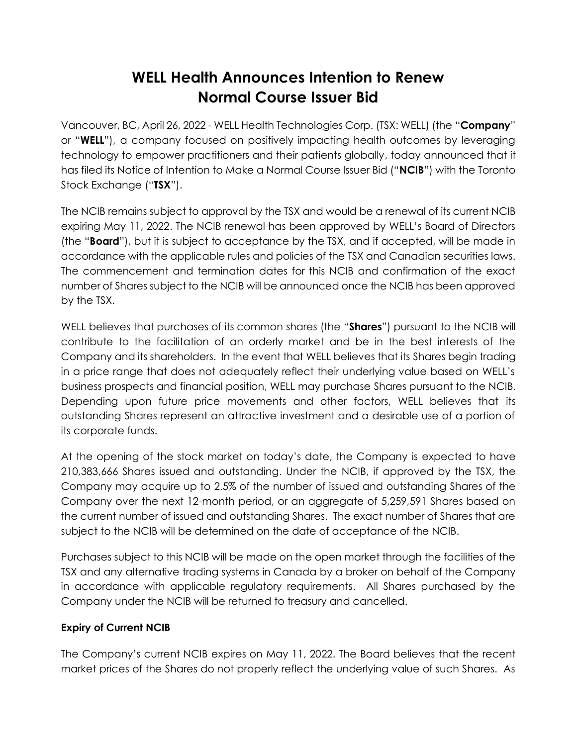# **WELL Health Announces Intention to Renew Normal Course Issuer Bid**

Vancouver, BC, April 26, 2022 - WELL Health Technologies Corp. (TSX: WELL) (the "**Company**" or "**WELL**"), a company focused on positively impacting health outcomes by leveraging technology to empower practitioners and their patients globally, today announced that it has filed its Notice of Intention to Make a Normal Course Issuer Bid ("**NCIB**") with the Toronto Stock Exchange ("**TSX**").

The NCIB remains subject to approval by the TSX and would be a renewal of its current NCIB expiring May 11, 2022. The NCIB renewal has been approved by WELL's Board of Directors (the "**Board**"), but it is subject to acceptance by the TSX, and if accepted, will be made in accordance with the applicable rules and policies of the TSX and Canadian securities laws. The commencement and termination dates for this NCIB and confirmation of the exact number of Shares subject to the NCIB will be announced once the NCIB has been approved by the TSX.

WELL believes that purchases of its common shares (the "**Shares**") pursuant to the NCIB will contribute to the facilitation of an orderly market and be in the best interests of the Company and its shareholders. In the event that WELL believes that its Shares begin trading in a price range that does not adequately reflect their underlying value based on WELL's business prospects and financial position, WELL may purchase Shares pursuant to the NCIB. Depending upon future price movements and other factors, WELL believes that its outstanding Shares represent an attractive investment and a desirable use of a portion of its corporate funds.

At the opening of the stock market on today's date, the Company is expected to have 210,383,666 Shares issued and outstanding. Under the NCIB, if approved by the TSX, the Company may acquire up to 2.5% of the number of issued and outstanding Shares of the Company over the next 12-month period, or an aggregate of 5,259,591 Shares based on the current number of issued and outstanding Shares. The exact number of Shares that are subject to the NCIB will be determined on the date of acceptance of the NCIB.

Purchases subject to this NCIB will be made on the open market through the facilities of the TSX and any alternative trading systems in Canada by a broker on behalf of the Company in accordance with applicable regulatory requirements. All Shares purchased by the Company under the NCIB will be returned to treasury and cancelled.

## **Expiry of Current NCIB**

The Company's current NCIB expires on May 11, 2022. The Board believes that the recent market prices of the Shares do not properly reflect the underlying value of such Shares. As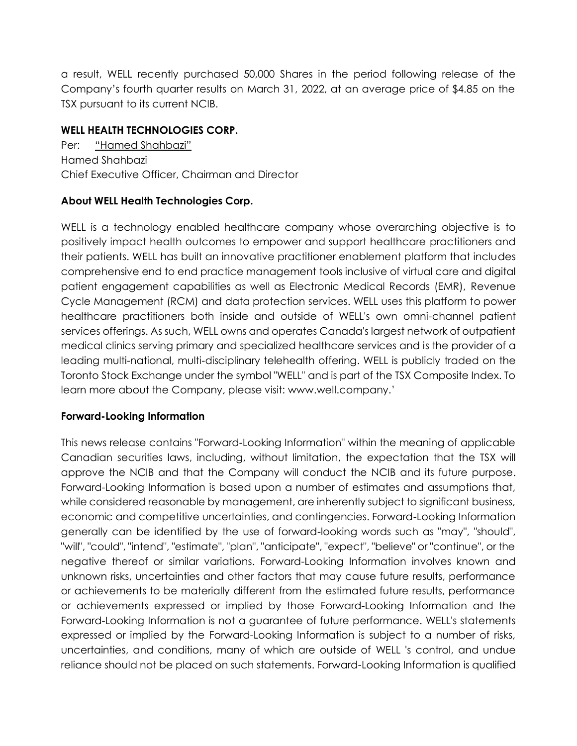a result, WELL recently purchased 50,000 Shares in the period following release of the Company's fourth quarter results on March 31, 2022, at an average price of \$4.85 on the TSX pursuant to its current NCIB.

## **WELL HEALTH TECHNOLOGIES CORP.**

Per: "Hamed Shahbazi" Hamed Shahbazi Chief Executive Officer, Chairman and Director

## **About WELL Health Technologies Corp.**

WELL is a technology enabled healthcare company whose overarching objective is to positively impact health outcomes to empower and support healthcare practitioners and their patients. WELL has built an innovative practitioner enablement platform that includes comprehensive end to end practice management tools inclusive of virtual care and digital patient engagement capabilities as well as Electronic Medical Records (EMR), Revenue Cycle Management (RCM) and data protection services. WELL uses this platform to power healthcare practitioners both inside and outside of WELL's own omni-channel patient services offerings. As such, WELL owns and operates Canada's largest network of outpatient medical clinics serving primary and specialized healthcare services and is the provider of a leading multi-national, multi-disciplinary telehealth offering. WELL is publicly traded on the Toronto Stock Exchange under the symbol "WELL" and is part of the TSX Composite Index. To learn more about the Company, please visit: www.well.company.'

## **Forward-Looking Information**

This news release contains "Forward-Looking Information" within the meaning of applicable Canadian securities laws, including, without limitation, the expectation that the TSX will approve the NCIB and that the Company will conduct the NCIB and its future purpose. Forward-Looking Information is based upon a number of estimates and assumptions that, while considered reasonable by management, are inherently subject to significant business, economic and competitive uncertainties, and contingencies. Forward-Looking Information generally can be identified by the use of forward-looking words such as "may", "should", "will", "could", "intend", "estimate", "plan", "anticipate", "expect", "believe" or "continue", or the negative thereof or similar variations. Forward-Looking Information involves known and unknown risks, uncertainties and other factors that may cause future results, performance or achievements to be materially different from the estimated future results, performance or achievements expressed or implied by those Forward-Looking Information and the Forward-Looking Information is not a guarantee of future performance. WELL's statements expressed or implied by the Forward-Looking Information is subject to a number of risks, uncertainties, and conditions, many of which are outside of WELL 's control, and undue reliance should not be placed on such statements. Forward-Looking Information is qualified